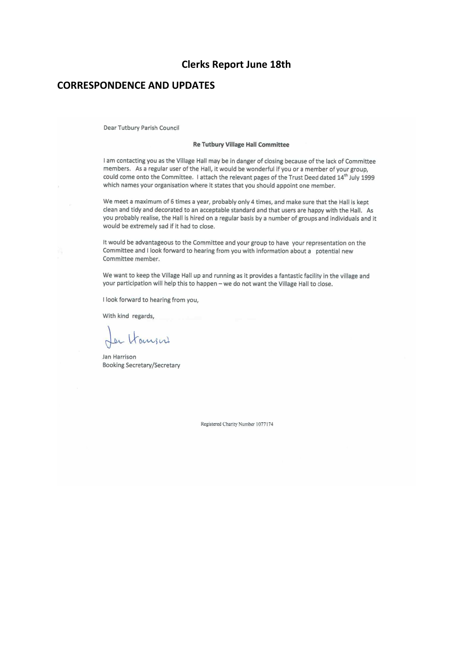## **Clerks Report June 18th**

## **CORRESPONDENCE AND UPDATES**

Dear Tutbury Parish Council

#### **Re Tutbury Village Hall Committee**

I am contacting you as the Village Hall may be in danger of closing because of the lack of Committee members. As a regular user of the Hall, it would be wonderful if you or a member of your group, could come onto the Committee. I attach the relevant pages of the Trust Deed dated 14<sup>th</sup> July 1999 which names your organisation where it states that you should appoint one member.

We meet a maximum of 6 times a year, probably only 4 times, and make sure that the Hall is kept clean and tidy and decorated to an acceptable standard and that users are happy with the Hall. As you probably realise, the Hall is hired on a regular basis by a number of groups and individuals and it would be extremely sad if it had to close.

It would be advantageous to the Committee and your group to have your representation on the Committee and I look forward to hearing from you with information about a potential new Committee member.

We want to keep the Village Hall up and running as it provides a fantastic facility in the village and your participation will help this to happen - we do not want the Village Hall to close.

I look forward to hearing from you,

With kind regards,

Les Hansen

Jan Harrison **Booking Secretary/Secretary** 

Registered Charity Number 1077174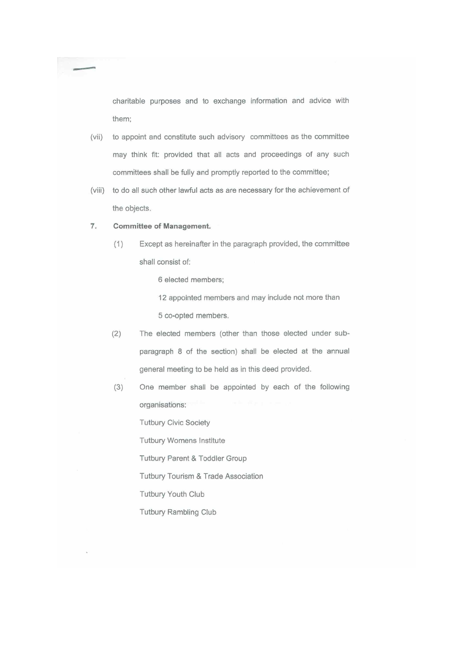charitable purposes and to exchange information and advice with them:

- to appoint and constitute such advisory committees as the committee  $(vii)$ may think fit: provided that all acts and proceedings of any such committees shall be fully and promptly reported to the committee;
- (viii) to do all such other lawful acts as are necessary for the achievement of the objects.

#### 7. **Committee of Management.**

Except as hereinafter in the paragraph provided, the committee  $(1)$ shall consist of:

6 elected members;

- 12 appointed members and may include not more than 5 co-opted members.
- $(2)$ The elected members (other than those elected under subparagraph 8 of the section) shall be elected at the annual general meeting to be held as in this deed provided.
- $(3)$ One member shall be appointed by each of the following organisations:

**Tutbury Civic Society** 

Tutbury Womens Institute

Tutbury Parent & Toddler Group

Tutbury Tourism & Trade Association

Tutbury Youth Club

**Tutbury Rambling Club**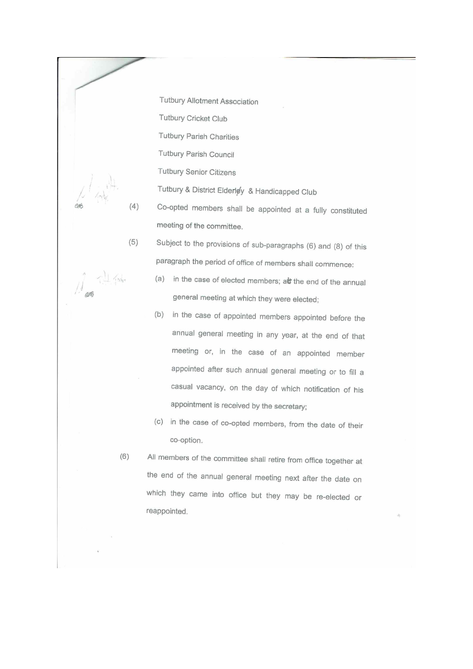**Tutbury Allotment Association** Tutbury Cricket Club **Tutbury Parish Charities** Tutbury Parish Council **Tutbury Senior Citizens** Tutbury & District Elderley & Handicapped Club Co-opted members shall be appointed at a fully constituted meeting of the committee. Subject to the provisions of sub-paragraphs (6) and (8) of this

 $(5)$ paragraph the period of office of members shall commence:

- (a) in the case of elected members; at the end of the annual general meeting at which they were elected;
- (b) in the case of appointed members appointed before the annual general meeting in any year, at the end of that meeting or, in the case of an appointed member appointed after such annual general meeting or to fill a casual vacancy, on the day of which notification of his appointment is received by the secretary;
- (c) in the case of co-opted members, from the date of their co-option.
- $(6)$ All members of the committee shall retire from office together at the end of the annual general meeting next after the date on which they came into office but they may be re-elected or reappointed.

ans

L Kam

 $(4)$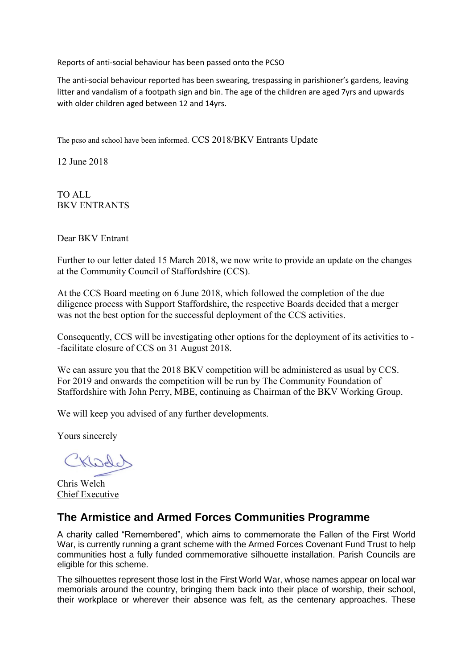Reports of anti-social behaviour has been passed onto the PCSO

The anti-social behaviour reported has been swearing, trespassing in parishioner's gardens, leaving litter and vandalism of a footpath sign and bin. The age of the children are aged 7yrs and upwards with older children aged between 12 and 14yrs.

The pcso and school have been informed. CCS 2018/BKV Entrants Update

12 June 2018

TO ALL BKV ENTRANTS

Dear BKV Entrant

Further to our letter dated 15 March 2018, we now write to provide an update on the changes at the Community Council of Staffordshire (CCS).

At the CCS Board meeting on 6 June 2018, which followed the completion of the due diligence process with Support Staffordshire, the respective Boards decided that a merger was not the best option for the successful deployment of the CCS activities.

Consequently, CCS will be investigating other options for the deployment of its activities to - -facilitate closure of CCS on 31 August 2018.

We can assure you that the 2018 BKV competition will be administered as usual by CCS. For 2019 and onwards the competition will be run by The Community Foundation of Staffordshire with John Perry, MBE, continuing as Chairman of the BKV Working Group.

We will keep you advised of any further developments.

Yours sincerely

Kledd

Chris Welch Chief Executive

# **The Armistice and Armed Forces Communities Programme**

A charity called "Remembered", which aims to commemorate the Fallen of the First World War, is currently running a grant scheme with the Armed Forces Covenant Fund Trust to help communities host a fully funded commemorative silhouette installation. Parish Councils are eligible for this scheme.

The silhouettes represent those lost in the First World War, whose names appear on local war memorials around the country, bringing them back into their place of worship, their school, their workplace or wherever their absence was felt, as the centenary approaches. These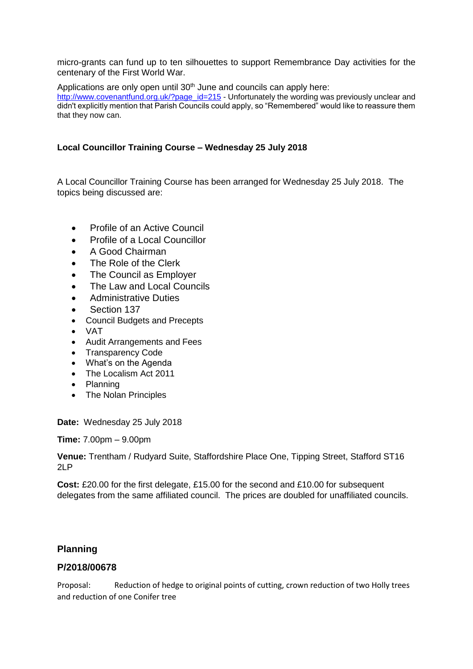micro-grants can fund up to ten silhouettes to support Remembrance Day activities for the centenary of the First World War.

Applications are only open until 30<sup>th</sup> June and councils can apply here: [http://www.covenantfund.org.uk/?page\\_id=215](http://www.covenantfund.org.uk/?page_id=215) - Unfortunately the wording was previously unclear and didn't explicitly mention that Parish Councils could apply, so "Remembered" would like to reassure them that they now can.

## **Local Councillor Training Course – Wednesday 25 July 2018**

A Local Councillor Training Course has been arranged for Wednesday 25 July 2018. The topics being discussed are:

- Profile of an Active Council
- Profile of a Local Councillor
- A Good Chairman
- The Role of the Clerk
- The Council as Employer
- The Law and Local Councils
- Administrative Duties
- Section 137
- Council Budgets and Precepts
- VAT
- Audit Arrangements and Fees
- Transparency Code
- What's on the Agenda
- The Localism Act 2011
- Planning
- The Nolan Principles

**Date:** Wednesday 25 July 2018

**Time:** 7.00pm – 9.00pm

**Venue:** Trentham / Rudyard Suite, Staffordshire Place One, Tipping Street, Stafford ST16 2LP

**Cost:** £20.00 for the first delegate, £15.00 for the second and £10.00 for subsequent delegates from the same affiliated council. The prices are doubled for unaffiliated councils.

## **Planning**

## **P/2018/00678**

Proposal: Reduction of hedge to original points of cutting, crown reduction of two Holly trees and reduction of one Conifer tree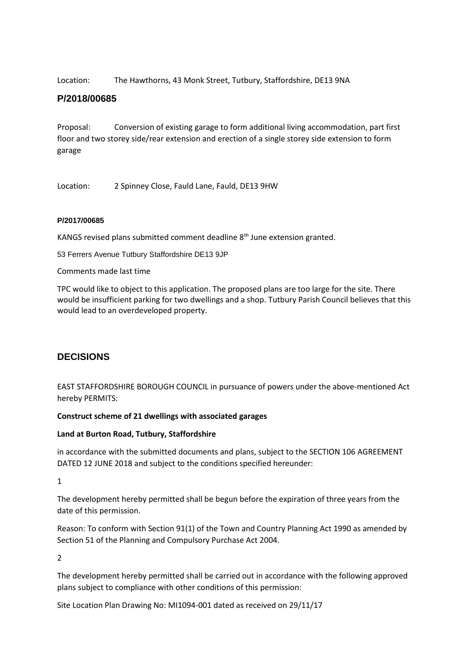Location: The Hawthorns, 43 Monk Street, Tutbury, Staffordshire, DE13 9NA

## **P/2018/00685**

Proposal: Conversion of existing garage to form additional living accommodation, part first floor and two storey side/rear extension and erection of a single storey side extension to form garage

Location: 2 Spinney Close, Fauld Lane, Fauld, DE13 9HW

#### **P/2017/00685**

KANGS revised plans submitted comment deadline 8<sup>th</sup> June extension granted.

53 Ferrers Avenue Tutbury Staffordshire DE13 9JP

Comments made last time

TPC would like to object to this application. The proposed plans are too large for the site. There would be insufficient parking for two dwellings and a shop. Tutbury Parish Council believes that this would lead to an overdeveloped property.

## **DECISIONS**

EAST STAFFORDSHIRE BOROUGH COUNCIL in pursuance of powers under the above-mentioned Act hereby PERMITS:

#### **Construct scheme of 21 dwellings with associated garages**

#### **Land at Burton Road, Tutbury, Staffordshire**

in accordance with the submitted documents and plans, subject to the SECTION 106 AGREEMENT DATED 12 JUNE 2018 and subject to the conditions specified hereunder:

1

The development hereby permitted shall be begun before the expiration of three years from the date of this permission.

Reason: To conform with Section 91(1) of the Town and Country Planning Act 1990 as amended by Section 51 of the Planning and Compulsory Purchase Act 2004.

2

The development hereby permitted shall be carried out in accordance with the following approved plans subject to compliance with other conditions of this permission:

Site Location Plan Drawing No: MI1094-001 dated as received on 29/11/17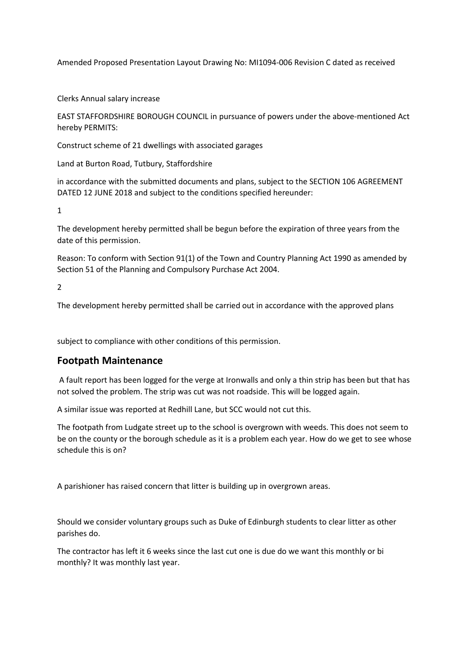Amended Proposed Presentation Layout Drawing No: MI1094-006 Revision C dated as received

Clerks Annual salary increase

EAST STAFFORDSHIRE BOROUGH COUNCIL in pursuance of powers under the above-mentioned Act hereby PERMITS:

Construct scheme of 21 dwellings with associated garages

Land at Burton Road, Tutbury, Staffordshire

in accordance with the submitted documents and plans, subject to the SECTION 106 AGREEMENT DATED 12 JUNE 2018 and subject to the conditions specified hereunder:

1

The development hereby permitted shall be begun before the expiration of three years from the date of this permission.

Reason: To conform with Section 91(1) of the Town and Country Planning Act 1990 as amended by Section 51 of the Planning and Compulsory Purchase Act 2004.

2

The development hereby permitted shall be carried out in accordance with the approved plans

subject to compliance with other conditions of this permission.

## **Footpath Maintenance**

A fault report has been logged for the verge at Ironwalls and only a thin strip has been but that has not solved the problem. The strip was cut was not roadside. This will be logged again.

A similar issue was reported at Redhill Lane, but SCC would not cut this.

The footpath from Ludgate street up to the school is overgrown with weeds. This does not seem to be on the county or the borough schedule as it is a problem each year. How do we get to see whose schedule this is on?

A parishioner has raised concern that litter is building up in overgrown areas.

Should we consider voluntary groups such as Duke of Edinburgh students to clear litter as other parishes do.

The contractor has left it 6 weeks since the last cut one is due do we want this monthly or bi monthly? It was monthly last year.